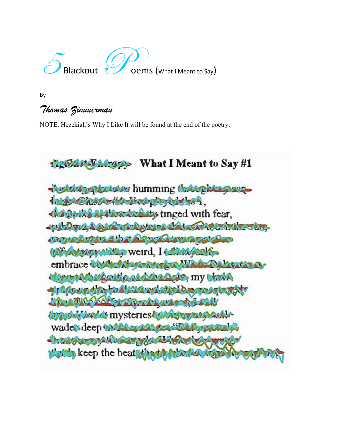

By

## *Thomas Zimmerman*

NOTE: Hezekiah's Why I Like It will be found at the end of the poetry.

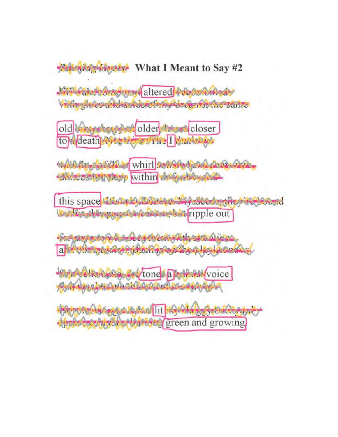**Netton AngelSystem** What I Meant to Say #2

**JOHN CHANGER CALLERY** altered 4 described as With Autop discharged the Automobile station

old marshaup dat older Massed closer to death After Manuel I draws ago

MAD Republikation whirl settled that A part 200 **CHAPTERSTORY TREED Within draggets and** 

this space The hold the sign Model is the second Und Wasteingen free to the state of Fipple out

the Agave the Address to the Assault District a de composação en substância de la palado

MARIA CIRCO STATIONS ALTERNATIVOICE Add canabacted and content room and to

Miller of the Analogue de Rose litt 1994 Length Honor order **Monda Consent Added Added by green and growing**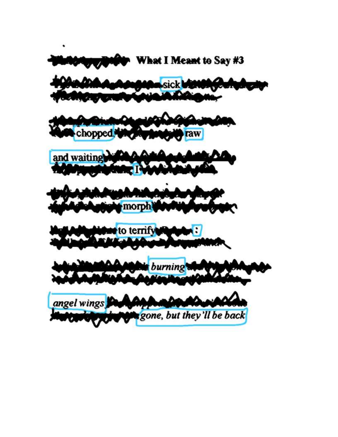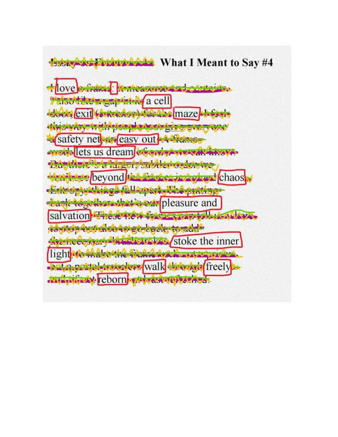**Brown Brown Add** What I Meant to Say #4

Hove extracts the measurement of the state Passer Represented a cell LARA exit for transporter the maze the statute to the statute to the term of the control of the statute of the statute of the statute of the statute a safety net an easy out A frame Treatolets us dream visited to variation Continue to the got, subtleves shower the Microsoftey ond the Cathery respired chaos -Extricintuation fallousers we prating death to software that's ear pleasure and salvation Triese tien from Veneral Indianal Rodisso turi metri el etobacie to adde sheeting strates in the strakes stoke the inner light Hoth about the fight was a substantial Walk to posted in the weapons walk the way of freely distant to the reborn the telephone of the contract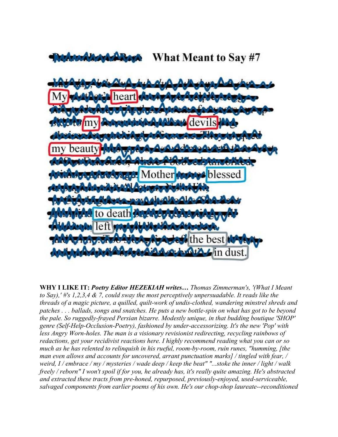What Meant to Say #7



**WHY I LIKE IT:** *Poetry Editor HEZEKIAH writes… Thomas Zimmerman's, '(What I Meant to Say),' #'s 1,2,3,4 & 7, could sway the most perceptively unpersuadable. It reads like the threads of a magic picture, a quilled, quilt-work of undis-clothed, wandering minstrel shreds and patches . . . ballads, songs and snatches. He puts a new bottle-spin on what has got to be beyond the pale. So ruggedly-frayed Persian bizarre. Modestly unique, in that budding boutique 'SHOP' genre (Self-Help-Occlusion-Poetry), fashioned by under-accessorizing. It's the new 'Pop' with less Angry Worn-holes. The man is a visionary revisionist redirecting, recycling rainbows of redactions, get your recidivist reactions here. I highly recommend reading what you can or so much as he has relented to relinquish in his rueful, room-by-room, ruin runes, "humming, [the man even allows and accounts for uncovered, arrant punctuation marks] / tingled with fear, / weird, I / embrace / my / mysteries / wade deep / keep the beat" "...stoke the inner / light / walk freely / reborn" I won't spoil if for you, he already has, it's really quite amazing. He's abstracted and extracted these tracts from pre-honed, repurposed, previously-enjoyed, used-serviceable, salvaged components from earlier poems of his own. He's our chop-shop laureate--reconditioned*